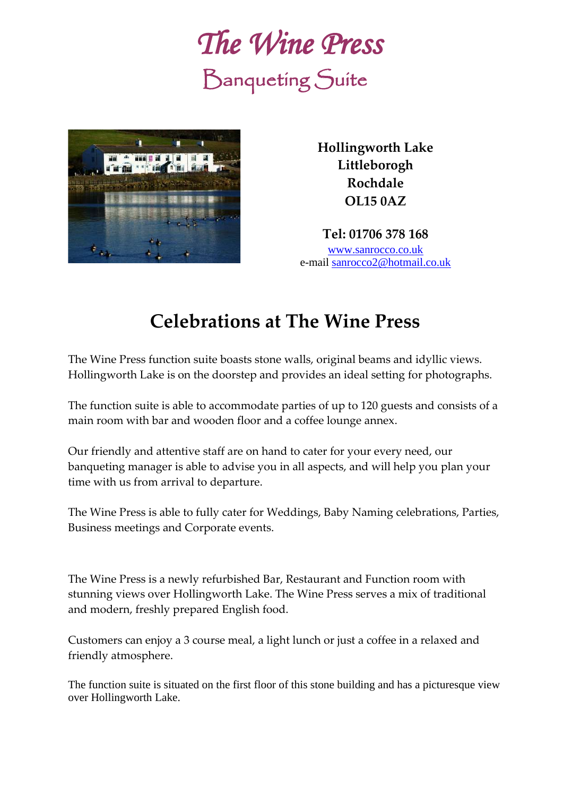



**Hollingworth Lake Littleborogh Rochdale OL15 0AZ**

**Tel: 01706 378 168** [www.sanrocco.co.uk](http://www.sanrocco.co.uk/) e-mail [sanrocco2@hotmail.co.uk](mailto:sanrocco2@hotmail.co.uk)

## **Celebrations at The Wine Press**

The Wine Press function suite boasts stone walls, original beams and idyllic views. Hollingworth Lake is on the doorstep and provides an ideal setting for photographs.

The function suite is able to accommodate parties of up to 120 guests and consists of a main room with bar and wooden floor and a coffee lounge annex.

Our friendly and attentive staff are on hand to cater for your every need, our banqueting manager is able to advise you in all aspects, and will help you plan your time with us from arrival to departure.

The Wine Press is able to fully cater for Weddings, Baby Naming celebrations, Parties, Business meetings and Corporate events.

The Wine Press is a newly refurbished Bar, Restaurant and Function room with stunning views over Hollingworth Lake. The Wine Press serves a mix of traditional and modern, freshly prepared English food.

Customers can enjoy a 3 course meal, a light lunch or just a coffee in a relaxed and friendly atmosphere.

The function suite is situated on the first floor of this stone building and has a picturesque view over Hollingworth Lake.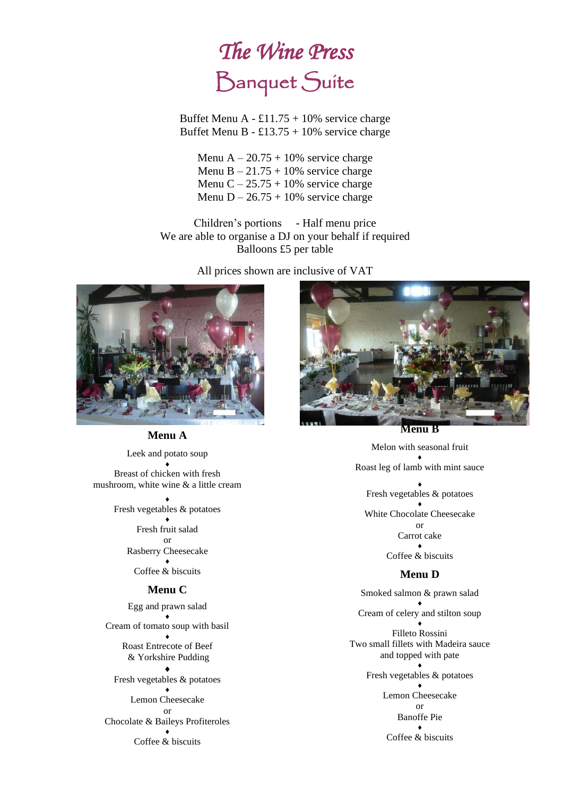# *The Wine Press* Banquet Suite

Buffet Menu A - £11.75 + 10% service charge Buffet Menu B - £13.75 + 10% service charge

Menu A –  $20.75 + 10\%$  service charge Menu B  $-21.75 + 10\%$  service charge Menu C –  $25.75 + 10\%$  service charge Menu  $D - 26.75 + 10\%$  service charge

Children's portions - Half menu price We are able to organise a DJ on your behalf if required Balloons £5 per table

All prices shown are inclusive of VAT



#### **Menu A**

Leek and potato soup  $\blacklozenge$ Breast of chicken with fresh mushroom, white wine & a little cream

#### $\blacklozenge$

Fresh vegetables & potatoes  $\blacklozenge$ Fresh fruit salad or Rasberry Cheesecake  $\blacklozenge$ Coffee & biscuits

#### **Menu C**

Egg and prawn salad  $\blacklozenge$ Cream of tomato soup with basil  $\blacklozenge$ Roast Entrecote of Beef & Yorkshire Pudding  $\blacklozenge$ Fresh vegetables & potatoes  $\blacklozenge$ Lemon Cheesecake or Chocolate & Baileys Profiteroles  $\blacklozenge$ Coffee & biscuits



**Menu B**

Melon with seasonal fruit  $\blacklozenge$ Roast leg of lamb with mint sauce  $\blacklozenge$ Fresh vegetables & potatoes  $\blacklozenge$ White Chocolate Cheesecake

or Carrot cake  $\blacklozenge$ 

Coffee & biscuits

#### **Menu D**

Smoked salmon & prawn salad  $\blacklozenge$ Cream of celery and stilton soup  $\blacklozenge$ Filleto Rossini Two small fillets with Madeira sauce and topped with pate  $\blacklozenge$ Fresh vegetables & potatoes  $\blacklozenge$ Lemon Cheesecake or Banoffe Pie  $\bullet$ Coffee & biscuits